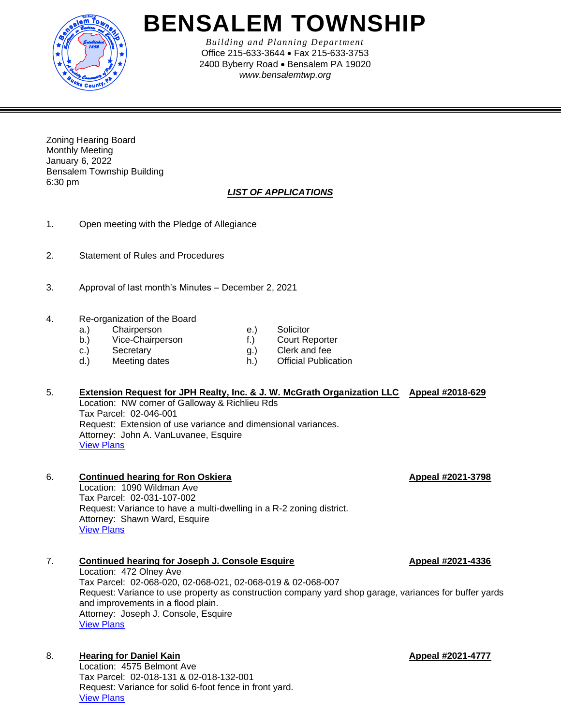

# **BENSALEM TOWNSHIP**

*Building and Planning Department* Office 215-633-3644 • Fax 215-633-3753 2400 Byberry Road • Bensalem PA 19020 *www.bensalemtwp.org* 

Zoning Hearing Board Monthly Meeting January 6, 2022 Bensalem Township Building 6:30 pm

## *LIST OF APPLICATIONS*

- 1. Open meeting with the Pledge of Allegiance
- 2. Statement of Rules and Procedures
- 3. Approval of last month's Minutes December 2, 2021
- 4. Re-organization of the Board
	- a.) Chairperson (a.) Solicitor<br>
	b.) Vice-Chairperson (f.) Court Reporter
	- b.) Vice-Chairperson f.)
	- c.) Secretary g.) Clerk and fee
	- d.) Meeting dates h.) Official Publication
- 
- 
- -

### 5. **Extension Request for JPH Realty, Inc. & J. W. McGrath Organization LLC Appeal #2018-629** Location: NW corner of Galloway & Richlieu Rds Tax Parcel: 02-046-001 Request: Extension of use variance and dimensional variances. Attorney: John A. VanLuvanee, Esquire [View Plans](https://www.bensalempa.gov/uploads/2/4/9/3/24936441/galloway___richlieu_rd___-_zhb_extension__2nd_request_.pdf)

#### 6. **Continued hearing for Ron Oskiera Appeal #2021-3798** Location: 1090 Wildman Ave

Tax Parcel: 02-031-107-002 Request: Variance to have a multi-dwelling in a R-2 zoning district. Attorney: Shawn Ward, Esquire [View Plans](https://www.bensalempa.gov/uploads/2/4/9/3/24936441/wildman_ave_1090_-_zhb_appeal.pdf)

## 7. **Continued hearing for Joseph J. Console Esquire Alleman 2021-4336**

Location: 472 Olney Ave Tax Parcel: 02-068-020, 02-068-021, 02-068-019 & 02-068-007 Request: Variance to use property as construction company yard shop garage, variances for buffer yards and improvements in a flood plain. Attorney: Joseph J. Console, Esquire [View Plans](https://www.bensalempa.gov/uploads/2/4/9/3/24936441/olney_ave_472_-_zhb_appeal.pdf)

## 8. **Hearing for Daniel Kain Appeal #2021-4777**

Location: 4575 Belmont Ave Tax Parcel: 02-018-131 & 02-018-132-001 Request: Variance for solid 6-foot fence in front yard. [View Plans](https://www.bensalempa.gov/uploads/2/4/9/3/24936441/belmont_ave_4575_-_zhb_appeal.pdf)